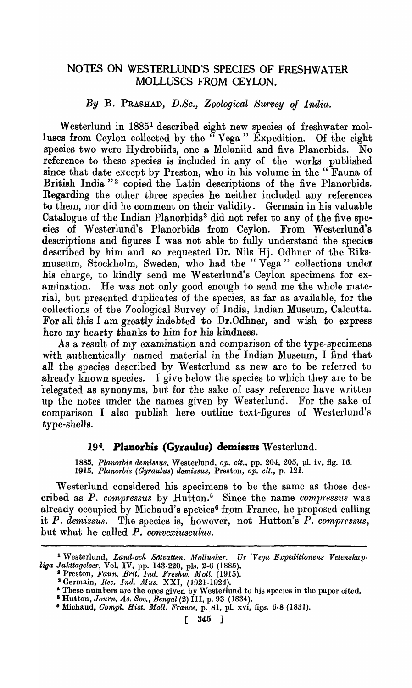# NOTES ON WESTERLUND'S SPECIES OF FRESHWATER MOLLUSCS FROM CEYLON.

#### *By* B. PRASHAD, *D.Se., Zoolog·ieal Survey of India.*

Westerlund in 1885<sup>1</sup> described eight new species of freshwater molluscs from Ceylon collected by the "Vega" Expedition. Of the eight species two were Hydrobiids, one a Melaniid and five Planorbids. No reference to these species is included in any of the works published since that date except by Preston, who in his volume in the " Fauna of British India "<sup>2</sup> copied the Latin descriptions of the five Planorbids. Regarding the other three species he neither included any references to them, nor did he comment on their validity. Germain in his valuable Catalogue of the Indian Planorbids<sup>3</sup> did not refer to any of the five species of Westerlund's Planorbids from Ceylon. From Westerlund's descriptions and figures I was not able to fully understand the species described by him and so requested Dr. Nils Hj. Odhner of the Riksmuseum, Stockholm, Sweden, who had the "Vega" collections under his charge, to kindly send me Westerlund's Ceylon specimens for examination. He was not only good enough to send me the whole material, but presented duplicates of the species, as far as available, for the collections of the 7oological Survey of India, Indian Museum, Calcutta. For all this I am greatly indebted to Dr.Odhner, and wish to express here my hearty thanks to him for his kindness.

As a result of my examination and comparison of the type-specimens with authentically named material in the Indian Museum, I find that all the species described by Westerlund as new are to be referred to already known species. I give below the species to which they arc to be relegated as synonyms, but for the sake of easy reference have written up the notes under the names given by Westerlund. For the sake of comparison I also publish here outline text-figures of Westerlund's type-shells.

# 19<sup>4</sup>. Planorbis (Gyraulus) demissus Westerlund.

*1885. Planorbis demi8sus,* Westerlund, *Ope cit.,* pp. 204, 205, pI. iv, fig. 16. 1915. Planorbis (Gyraulus) demissus, Preston, *op. cit.*, p. 121.

Westerlund eonsidered his specimens to be the same as those described as P. compressus by Hutton.<sup>5</sup> Since the name *compressus* was already occupied by Michaud's species<sup>6</sup> from France, he proposed calling it P. *demissus.* The species is, however, not Hutton's P. compressus, but what he called P. *convexiusculus*.

<sup>&</sup>lt;sup>1</sup> Westerlund, *Land-och Sötvatten. Mollusker. Ur Vega Expeditionens Vetenskapliga Jakttagel8er,* Vol. IV, pp.' 143-220, pIs. 2-6 (1885).

<sup>&</sup>lt;sup>2</sup> Preston, *Faun. Brit. Ind. Freshw. Moll.* (1915).

<sup>&</sup>lt;sup>3</sup> Germain, *Rec. Ind. Mus.* XXI, (1921-1924).

<sup>&</sup>lt;sup>4</sup> These numbers are the ones given by Westerlund to his species in the paper cited.

<sup>&</sup>lt;sup>5</sup> Hutton, *Journ. As. Soc., Bengal* (2) III, p. 93 (1834). <sup>6</sup> Michaud, *Compl. Hist. Moll. France*, p. 81, pl. xvi, figs. 6-8 (1831).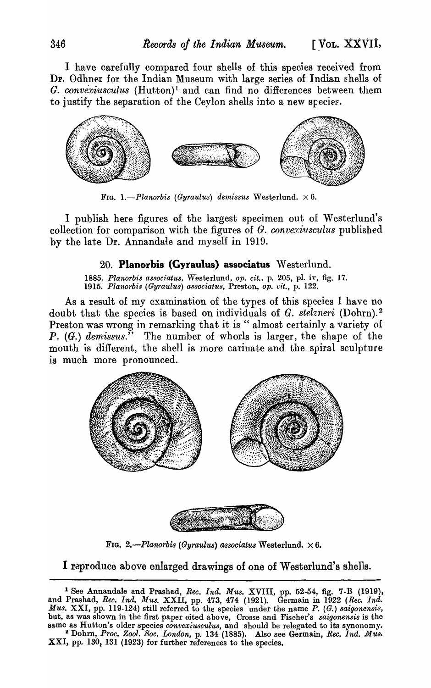I have carefully compared four shells of this species received from Dr. Odhner for the Indian Museum with large series of Indian shells of G. *convexiusculus* (Hutton)<sup>1</sup> and can find no differences between them to justify the separation of the Ceylon shells into a new species.



FIG. 1.-Planorbis *(Gyraulus)* demissus Westerlund.  $\times 6$ .

I publish here figures of the largest specimen out of Westerlund's collection for comparison with the figures of G. *converiusculus* published by the late Dr. Annandale and myself in 1919.

# 20. **Planorbis (Gyraulus) associatus Westerlund.**

1885. Planorbis associatus, Westerlund, op. cit., p. 205, pl. iv, fig. 17. 1915. Planorbis (Gyraulus) associatus, Preston, op. cit., p. 122.

As a result of my examination of the types of this species I have no doubt that the species is based on individuals of *G. stelzneri* (Dohrn).<sup>2</sup> Preston was wrong in remarking that it is " almost certainly a variety of *P.* (G.) demissus." The number of whorls is larger, the shape of the mouth is different, the shell is more carinate and the spiral sculpture is much more pronounced.



FIG. 2.-Planorbis (Gyraulus) associatus Westerlund.  $\times 6$ .

I reproduce above enlarged drawings of one of Westerlund's shells.

<sup>1</sup> See Annandale and Prashad, *Ree. Ind. Mus.* XVIII, pp. 52·54, fig. 7·B (1919), and Prashad, *Rec. Ind. Mus.* XXII, pp. 473, 474 (1921). Germain in 1922 *(Rec. Ind. Mus.* XXI, pp. 119-124) still referred to the species under the name *P.* (G.) saigonensis, but, as was shown in the first paper cited above, Crosse and Fischer's *saigonensis* is the same as Hutton's older species *convexiusculus,* and should be relegated to its synonomy. 2 Dohrn, *Proc. Zool. Soc. London,* p. 134 (1885). Also see Germain, *Rec. Ind. Mus.*  XXI, pp. 130, 131 (1923) for further references to the species.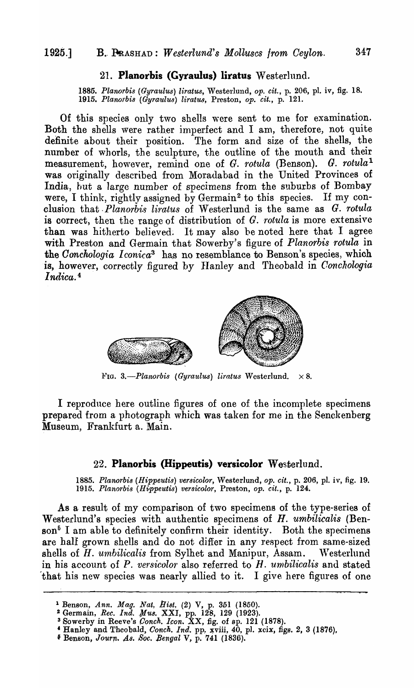#### 21. **Planorbis (Gyraulus) liratus Westerlnnd.**

1885. Planorbis (Gyraulus) liratus, Westerlund, op. cit., p. 206, pl. iv, fig. 18. 1915. Planorbis (Gyraulus) liratus, Preston, op. cit., p. 121.

Of this species. only two shells were sent to me for examination. Both the shells were rather imperfect and I am, therefore, not quite definite about their position. The form and size of the shells, the number of whorls, the sculpture, the outline of the mouth and their measurement, however, remind one of *G. rotula* (Benson). *G. rotula<sup>1</sup>* was originally described from Moradabad in the United Provinces of India, hut a 1arge number of specimens from the subuxbs of Bombay were, I think, rightly assigned by Germain<sup>2</sup> to this species. If my conclusion that *.Planorbi8 liratus* of Westerlund is the same as G. *rotula*  is correct, then the range of distribution of G. *rotula* is more extensive than was hitherto believed. It may also be noted here that I agree with Preston and Germain that Sowerby's figure of *Planorbis rotula* in the *Conchologia Iconica*<sup>3</sup> has no resemblance to Benson's species, which is, however, correctly figured by Hanley and Theobald in *Conchologia Indica.* <sup>4</sup>



Fig. 3.-Planorbis (Gyraulus) liratus Westerlund.  $\times 8$ .

I reproduce here outline figures of one of the incomplete specimens prepared from a photograph which was taken for me in the Senckenberg Museum, Frankfurt a. Main.

## 22. **Planorbis (Hippeutis) versicolor** Westerlund.

1885. Planorbis (Hippeutis) versicolor, Westerlund, op. cit., p. 206, pl. iv, fig. 19. 1915. Planorbis (Hippeutis) versicolor, Preston, op. cit., p. 124.

As a result of my comparison of two specimens of the type-series of Westerlund's species with authentic specimens of H. *umbilicalis* (Ben- $\text{son}^5$  I am able to definitely confirm their identity. Both the specimens are hall grown shells and do not differ in any respect from same-sized shells of *H. umbilicalis* from Sylhet and Manipur, Assam. Westerlund in his account of P. *versicolor* also referred to H. *umbilicalis* and stated that his new species was nearly allied to it. I give here figures of one

- <sup>1</sup> Benson, Ann. Mag. Nat. Hist. (2) V, p. 351 (1850).
- <sup>2</sup> Germain, *Rec. Ind. Mus.* XXI, pp. 128, 129 (1923).
- 3 Sowerby in Reeve's *Conch. Icon.* XX, fig. of ap. 121 (1878).
- <sup>4</sup> Hanley and Theobald, *Conch. Ind.* pp. xviii, 40, pl. xcix, figs. 2, 3 (1876),
- <sup>5</sup> Benson, *Journ. As. Soc. Bengal V*, p. 741 (1836).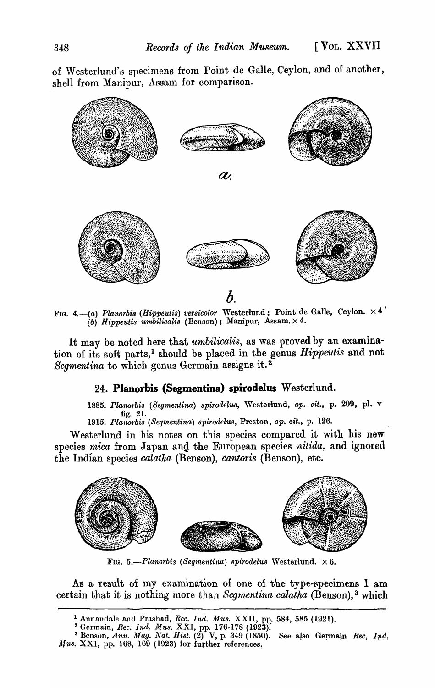of Westerlund's specimens from Point de Galle, Ceylon, and of another, shell from Manipur, Assam for comparison.



FIG. 4.-(a) Planorbis (Hippeutis) versicolor Westerlund; Point de Galle, Ceylon.  $\times$  4<sup>•</sup> *(6) Hippeutis umhilicalis* (Benson); Manipur, Assam. X 4.

It may be noted here that *umbilicalis*, as was proved by an examination of its soft parts,<sup>1</sup> should be placed in the genus *Hippeutis* and not Segmentina to which genus Germain assigns it.<sup>2</sup>

## 24. **Planorbis (Segmentina) spirodelus** Westerlund.

1885. Planorbis (Segmentina) *spirodelus*, Westerlund, op. cit., p. 209, pl. v fig. 21.

1915. Planorbis (Segmentina) spirodelus, Preston, op. cit., p. 126.

Westerlund in his notes on this species compared it with his new species *mica* from Japan and the European species *nitida*, and ignored the Indian species *calatha* (Benson), *cantoris* (Benson), etc.



FIG.  $5.-Planorbis$  (Segmentina) spirodelus Westerlund.  $\times 6$ .

As a result of my examination of one of the type-specimens I am certain that it is nothing more than *Segmentina calatha* (Benson), 3 which

<sup>&</sup>lt;sup>1</sup> Annandale and Prashad, *Rec. Ind. Mus.* XXII, pp. 584, 585 (1921).

<sup>&</sup>lt;sup>2</sup> Germain, *Rec. Ind. Mus. XXI*, pp. 176-178 (1923).

<sup>&</sup>lt;sup>3</sup> Benson, *Ann. Mag. Nat. Hist.*  $(2)^T V$ , p. 349 (1850). See also Germain *Rec. 1nd.* Annandale and Prashad, *Hec. 1nd. Mus.* XXII, pp. 584, 585 (1921).<br>
<sup>2</sup> Germain, *Rec. 1nd. Mus.* XXI, pp. 176-178 (1923).<br>
<sup>3</sup> Benson, *Ann. Mag. Nat. Hist.* (2) V, p. 349 (1850). See also Germain *Mus.* XXI, pp. 168, 16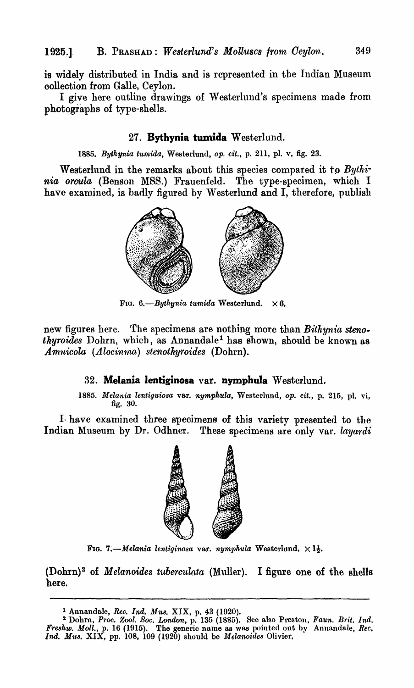is widely distributed in India and is represented in the Indian Museum collection from Galle, Ceylon.

I give here outline drawings of Westerlund's specimens made from photographs of type-shells.

#### 27. **Bythynia tumida** Westerlund.

*1885. Bythynia tumida,* Westerlund, *op. cit.,* p. 211, pI. v, fig. 23.

Westerlund in the remarks about this species compared it to Bythi*nia orcula* (Benson MSS.) Frauenfeld. The type-specimen, which I have examined, is badly figured by Westerlund and I, therefore, publish



FIG.  $6.-Bythynia$  tumida Westerlund.  $\times 6$ .

new figures here. The specimens are nothing more than *Bithynia stenothyroides* Dohrn, which, as Annandale<sup>1</sup> has shown, should be known as *Am.nicola (Alocin1na) stenotnyroides* (Dohrn).

## 32. Melania lentiginosa var. nymphula Westerlund.

*1885. Melania lentiguiosa* var. *nymphula,* Westerlund, *Opt cit.,* p. 215, pI. vi, fig. 30.

I have examined three specimens of this variety presented to the Indian Museum by Dr. Odhner. These specimens are only var. *layardi* 



FIG. 7.—Melania *lentiginosa* var. *nymphula* Westerlund.  $\times$  1 $\frac{1}{2}$ .

(Dohrn)2 of *Melanoides tuberculata* (Muller). I figure one of the shells here.

<sup>1</sup> Annandale, *Rec. Ind. Mus.* XIX, p. 43 (1920).

<sup>!</sup> Dohm, *Proc. Zool. Soe. London,* p. 135 (1885). See also Preston, *Faun. Brit. Ind. Fre8hw. Moll.,* p. 16 (1915). The generic name as was pointed out by Annandale, *Ree,*  Ind. Mus. XIX, pp. 108, 109 (1920) should be *Melanoides* Olivier.